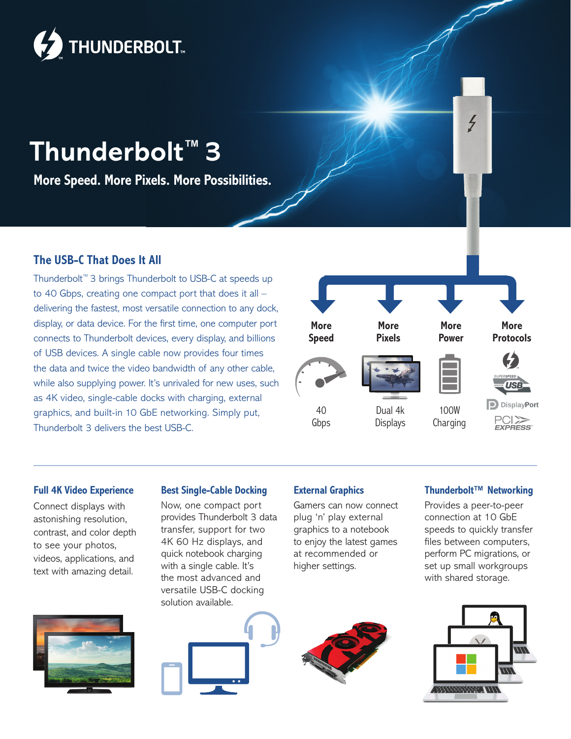

# **Thunderbolt™ 3**

**More Speed. More Pixels. More Possibilities.**

## **The USB-C That Does It All**

Thunderbolt™ 3 brings Thunderbolt to USB-C at speeds up to 40 Gbps, creating one compact port that does it all – delivering the fastest, most versatile connection to any dock, display, or data device. For the first time, one computer port connects to Thunderbolt devices, every display, and billions of USB devices. A single cable now provides four times the data and twice the video bandwidth of any other cable, while also supplying power. It's unrivaled for new uses, such as 4K video, single-cable docks with charging, external graphics, and built-in 10 GbE networking. Simply put, Thunderbolt 3 delivers the best USB-C.



#### **Full 4K Video Experience**

Connect displays with astonishing resolution, contrast, and color depth to see your photos, videos, applications, and text with amazing detail.



#### **Best Single-Cable Docking**

Now, one compact port provides Thunderbolt 3 data transfer, support for two 4K 60 Hz displays, and quick notebook charging with a single cable. It's the most advanced and versatile USB-C docking solution available.

#### **External Graphics**

Gamers can now connect plug 'n' play external graphics to a notebook to enjoy the latest games at recommended or higher settings.

### **Thunderbolt™ Networking**

Provides a peer-to-peer connection at 10 GbE speeds to quickly transfer files between computers, perform PC migrations, or set up small workgroups with shared storage.